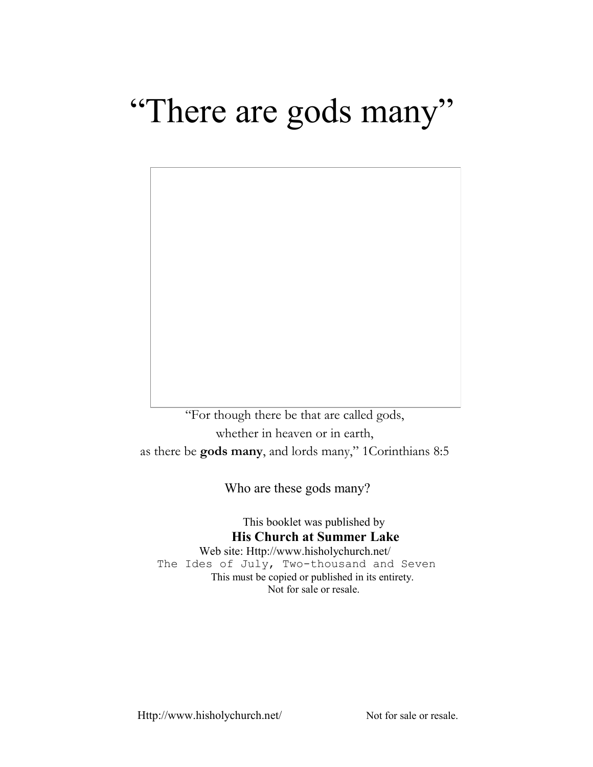# "There are gods many"



"For though there be that are called gods, whether in heaven or in earth, as there be **gods many**, and lords many," 1Corinthians 8:5

Who are these gods many?

This booklet was published by **His Church at Summer Lake**

Web site: Http://www.hisholychurch.net/ The Ides of July, Two-thousand and Seven This must be copied or published in its entirety. Not for sale or resale.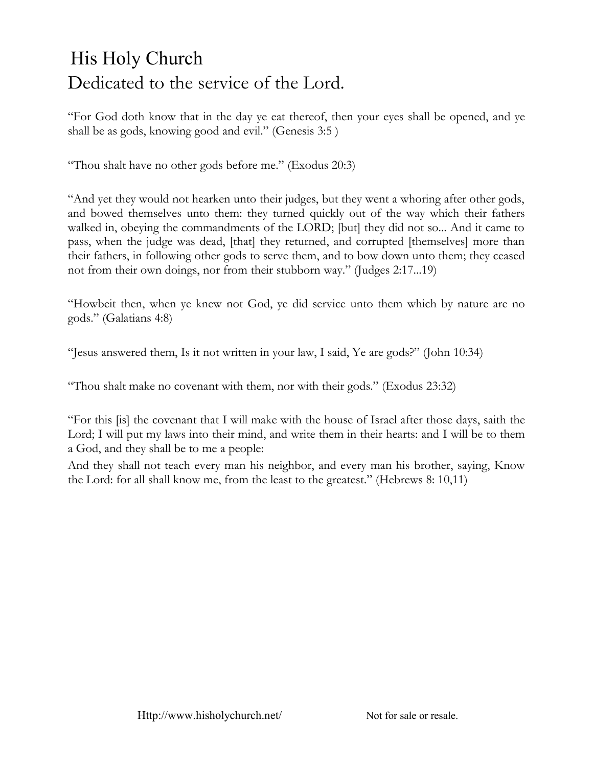## His Holy Church Dedicated to the service of the Lord.

"For God doth know that in the day ye eat thereof, then your eyes shall be opened, and ye shall be as gods, knowing good and evil." (Genesis 3:5 )

"Thou shalt have no other gods before me." (Exodus 20:3)

"And yet they would not hearken unto their judges, but they went a whoring after other gods, and bowed themselves unto them: they turned quickly out of the way which their fathers walked in, obeying the commandments of the LORD; [but] they did not so... And it came to pass, when the judge was dead, [that] they returned, and corrupted [themselves] more than their fathers, in following other gods to serve them, and to bow down unto them; they ceased not from their own doings, nor from their stubborn way." (Judges 2:17...19)

"Howbeit then, when ye knew not God, ye did service unto them which by nature are no gods." (Galatians 4:8)

"Jesus answered them, Is it not written in your law, I said, Ye are gods?" (John 10:34)

"Thou shalt make no covenant with them, nor with their gods." (Exodus 23:32)

"For this [is] the covenant that I will make with the house of Israel after those days, saith the Lord; I will put my laws into their mind, and write them in their hearts: and I will be to them a God, and they shall be to me a people:

And they shall not teach every man his neighbor, and every man his brother, saying, Know the Lord: for all shall know me, from the least to the greatest." (Hebrews 8: 10,11)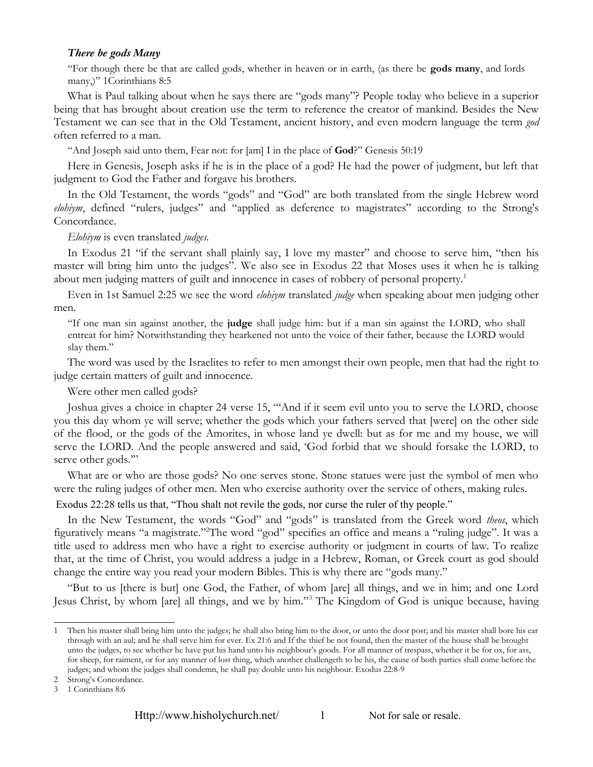#### *There be gods Many*

"For though there be that are called gods, whether in heaven or in earth, (as there be **gods many**, and lords many,)" 1Corinthians 8:5

What is Paul talking about when he says there are "gods many"? People today who believe in a superior being that has brought about creation use the term to reference the creator of mankind. Besides the New Testament we can see that in the Old Testament, ancient history, and even modern language the term *god* often referred to a man.

"And Joseph said unto them, Fear not: for [am] I in the place of **God**?" Genesis 50:19

Here in Genesis, Joseph asks if he is in the place of a god? He had the power of judgment, but left that judgment to God the Father and forgave his brothers.

In the Old Testament, the words "gods" and "God" are both translated from the single Hebrew word *elohiym*, defined "rulers, judges" and "applied as deference to magistrates" according to the Strong's Concordance.

*Elohiym* is even translated *judges.*

In Exodus 21 "if the servant shall plainly say, I love my master" and choose to serve him, "then his master will bring him unto the judges". We also see in Exodus 22 that Moses uses it when he is talking about men judging matters of guilt and innocence in cases of robbery of personal property.[1](#page-2-0)

Even in 1st Samuel 2:25 we see the word *elohiym* translated *judge* when speaking about men judging other men.

"If one man sin against another, the **judge** shall judge him: but if a man sin against the LORD, who shall entreat for him? Notwithstanding they hearkened not unto the voice of their father, because the LORD would slay them."

The word was used by the Israelites to refer to men amongst their own people, men that had the right to judge certain matters of guilt and innocence.

Were other men called gods?

Joshua gives a choice in chapter 24 verse 15, "'And if it seem evil unto you to serve the LORD, choose you this day whom ye will serve; whether the gods which your fathers served that [were] on the other side of the flood, or the gods of the Amorites, in whose land ye dwell: but as for me and my house, we will serve the LORD. And the people answered and said, 'God forbid that we should forsake the LORD, to serve other gods."

What are or who are those gods? No one serves stone. Stone statues were just the symbol of men who were the ruling judges of other men. Men who exercise authority over the service of others, making rules.

Exodus 22:28 tells us that, "Thou shalt not revile the gods, nor curse the ruler of thy people."

In the New Testament, the words "God" and "gods" is translated from the Greek word *theos*, which figuratively means "a magistrate."[2](#page-2-1)The word "god" specifies an office and means a "ruling judge". It was a title used to address men who have a right to exercise authority or judgment in courts of law. To realize that, at the time of Christ, you would address a judge in a Hebrew, Roman, or Greek court as god should change the entire way you read your modern Bibles. This is why there are "gods many."

"But to us [there is but] one God, the Father, of whom [are] all things, and we in him; and one Lord Jesus Christ, by whom [are] all things, and we by him."[3](#page-2-2) The Kingdom of God is unique because, having

<span id="page-2-0"></span><sup>1</sup> Then his master shall bring him unto the judges; he shall also bring him to the door, or unto the door post; and his master shall bore his ear through with an aul; and he shall serve him for ever. Ex 21:6 and If the thief be not found, then the master of the house shall be brought unto the judges, to see whether he have put his hand unto his neighbour's goods. For all manner of trespass, whether it be for ox, for ass, for sheep, for raiment, or for any manner of lost thing, which another challengeth to be his, the cause of both parties shall come before the judges; and whom the judges shall condemn, he shall pay double unto his neighbour. Exodus 22:8-9

<span id="page-2-1"></span><sup>2</sup> Strong's Concordance.

<span id="page-2-2"></span><sup>3</sup> 1 Corinthians 8:6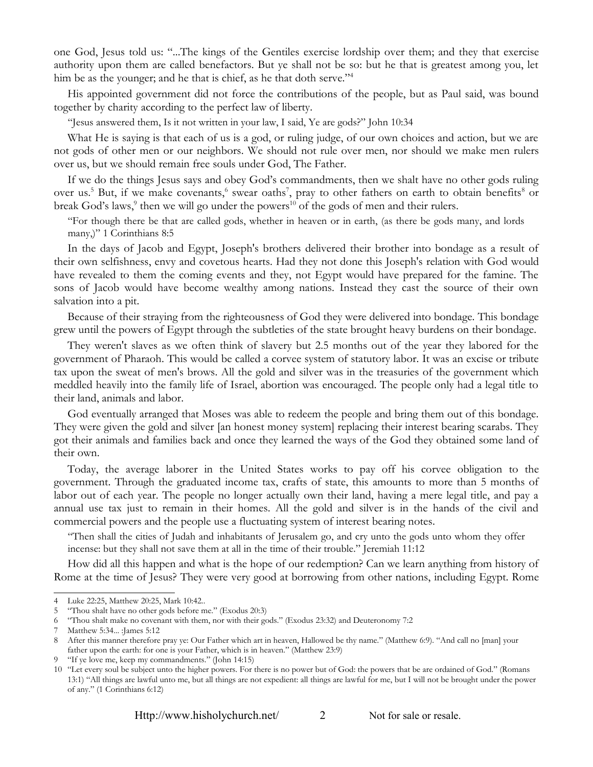one God, Jesus told us: "...The kings of the Gentiles exercise lordship over them; and they that exercise authority upon them are called benefactors. But ye shall not be so: but he that is greatest among you, let him be as the younger; and he that is chief, as he that doth serve."<sup>[4](#page-3-0)</sup>

His appointed government did not force the contributions of the people, but as Paul said, was bound together by charity according to the perfect law of liberty.

"Jesus answered them, Is it not written in your law, I said, Ye are gods?" John 10:34

What He is saying is that each of us is a god, or ruling judge, of our own choices and action, but we are not gods of other men or our neighbors. We should not rule over men, nor should we make men rulers over us, but we should remain free souls under God, The Father.

If we do the things Jesus says and obey God's commandments, then we shalt have no other gods ruling over us.<sup>[5](#page-3-1)</sup> But, if we make covenants,<sup>[6](#page-3-2)</sup> swear oaths<sup>[7](#page-3-3)</sup>, pray to other fathers on earth to obtain benefits<sup>[8](#page-3-4)</sup> or break God's laws,<sup>[9](#page-3-5)</sup> then we will go under the powers<sup>[10](#page-3-6)</sup> of the gods of men and their rulers.

"For though there be that are called gods, whether in heaven or in earth, (as there be gods many, and lords many,)" 1 Corinthians 8:5

In the days of Jacob and Egypt, Joseph's brothers delivered their brother into bondage as a result of their own selfishness, envy and covetous hearts. Had they not done this Joseph's relation with God would have revealed to them the coming events and they, not Egypt would have prepared for the famine. The sons of Jacob would have become wealthy among nations. Instead they cast the source of their own salvation into a pit.

Because of their straying from the righteousness of God they were delivered into bondage. This bondage grew until the powers of Egypt through the subtleties of the state brought heavy burdens on their bondage.

They weren't slaves as we often think of slavery but 2.5 months out of the year they labored for the government of Pharaoh. This would be called a corvee system of statutory labor. It was an excise or tribute tax upon the sweat of men's brows. All the gold and silver was in the treasuries of the government which meddled heavily into the family life of Israel, abortion was encouraged. The people only had a legal title to their land, animals and labor.

God eventually arranged that Moses was able to redeem the people and bring them out of this bondage. They were given the gold and silver [an honest money system] replacing their interest bearing scarabs. They got their animals and families back and once they learned the ways of the God they obtained some land of their own.

Today, the average laborer in the United States works to pay off his corvee obligation to the government. Through the graduated income tax, crafts of state, this amounts to more than 5 months of labor out of each year. The people no longer actually own their land, having a mere legal title, and pay a annual use tax just to remain in their homes. All the gold and silver is in the hands of the civil and commercial powers and the people use a fluctuating system of interest bearing notes.

"Then shall the cities of Judah and inhabitants of Jerusalem go, and cry unto the gods unto whom they offer incense: but they shall not save them at all in the time of their trouble." Jeremiah 11:12

How did all this happen and what is the hope of our redemption? Can we learn anything from history of Rome at the time of Jesus? They were very good at borrowing from other nations, including Egypt. Rome

<span id="page-3-0"></span><sup>4</sup> Luke 22:25, Matthew 20:25, Mark 10:42..

<span id="page-3-1"></span><sup>5</sup> "Thou shalt have no other gods before me." (Exodus 20:3)

<span id="page-3-2"></span><sup>6</sup> "Thou shalt make no covenant with them, nor with their gods." (Exodus 23:32) and Deuteronomy 7:2

<span id="page-3-3"></span><sup>7</sup> Matthew 5:34... :James 5:12

<span id="page-3-4"></span><sup>8</sup> After this manner therefore pray ye: Our Father which art in heaven, Hallowed be thy name." (Matthew 6:9). "And call no [man] your father upon the earth: for one is your Father, which is in heaven." (Matthew 23:9)

<span id="page-3-5"></span><sup>9</sup> "If ye love me, keep my commandments." (John 14:15)

<span id="page-3-6"></span><sup>10</sup> "Let every soul be subject unto the higher powers. For there is no power but of God: the powers that be are ordained of God." (Romans 13:1) "All things are lawful unto me, but all things are not expedient: all things are lawful for me, but I will not be brought under the power of any." (1 Corinthians 6:12)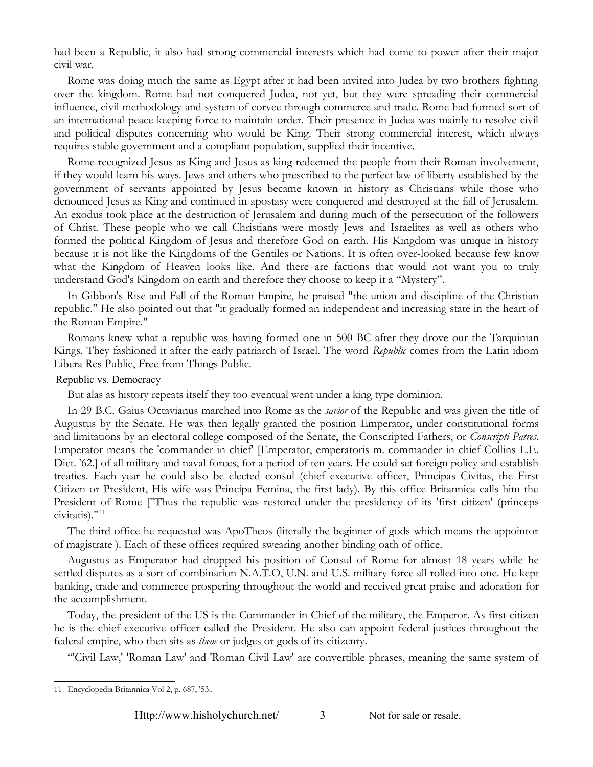had been a Republic, it also had strong commercial interests which had come to power after their major civil war.

Rome was doing much the same as Egypt after it had been invited into Judea by two brothers fighting over the kingdom. Rome had not conquered Judea, not yet, but they were spreading their commercial influence, civil methodology and system of corvee through commerce and trade. Rome had formed sort of an international peace keeping force to maintain order. Their presence in Judea was mainly to resolve civil and political disputes concerning who would be King. Their strong commercial interest, which always requires stable government and a compliant population, supplied their incentive.

Rome recognized Jesus as King and Jesus as king redeemed the people from their Roman involvement, if they would learn his ways. Jews and others who prescribed to the perfect law of liberty established by the government of servants appointed by Jesus became known in history as Christians while those who denounced Jesus as King and continued in apostasy were conquered and destroyed at the fall of Jerusalem. An exodus took place at the destruction of Jerusalem and during much of the persecution of the followers of Christ. These people who we call Christians were mostly Jews and Israelites as well as others who formed the political Kingdom of Jesus and therefore God on earth. His Kingdom was unique in history because it is not like the Kingdoms of the Gentiles or Nations. It is often over-looked because few know what the Kingdom of Heaven looks like. And there are factions that would not want you to truly understand God's Kingdom on earth and therefore they choose to keep it a "Mystery".

In Gibbon's Rise and Fall of the Roman Empire, he praised "the union and discipline of the Christian republic." He also pointed out that "it gradually formed an independent and increasing state in the heart of the Roman Empire."

Romans knew what a republic was having formed one in 500 BC after they drove our the Tarquinian Kings. They fashioned it after the early patriarch of Israel. The word *Republic* comes from the Latin idiom Libera Res Public, Free from Things Public.

#### Republic vs. Democracy

But alas as history repeats itself they too eventual went under a king type dominion.

In 29 B.C. Gaius Octavianus marched into Rome as the *savior* of the Republic and was given the title of Augustus by the Senate. He was then legally granted the position Emperator, under constitutional forms and limitations by an electoral college composed of the Senate, the Conscripted Fathers, or *Conscripti Patres*. Emperator means the 'commander in chief' [Emperator, emperatoris m. commander in chief Collins L.E. Dict. '62.] of all military and naval forces, for a period of ten years. He could set foreign policy and establish treaties. Each year he could also be elected consul (chief executive officer, Principas Civitas, the First Citizen or President, His wife was Principa Femina, the first lady). By this office Britannica calls him the President of Rome ["Thus the republic was restored under the presidency of its 'first citizen' (princeps civitatis)."[11](#page-4-0)

The third office he requested was ApoTheos (literally the beginner of gods which means the appointor of magistrate ). Each of these offices required swearing another binding oath of office.

Augustus as Emperator had dropped his position of Consul of Rome for almost 18 years while he settled disputes as a sort of combination N.A.T.O, U.N. and U.S. military force all rolled into one. He kept banking, trade and commerce prospering throughout the world and received great praise and adoration for the accomplishment.

Today, the president of the US is the Commander in Chief of the military, the Emperor. As first citizen he is the chief executive officer called the President. He also can appoint federal justices throughout the federal empire, who then sits as *theos* or judges or gods of its citizenry.

"'Civil Law,' 'Roman Law' and 'Roman Civil Law' are convertible phrases, meaning the same system of

<span id="page-4-0"></span><sup>11</sup> Encyclopedia Britannica Vol 2, p. 687, '53..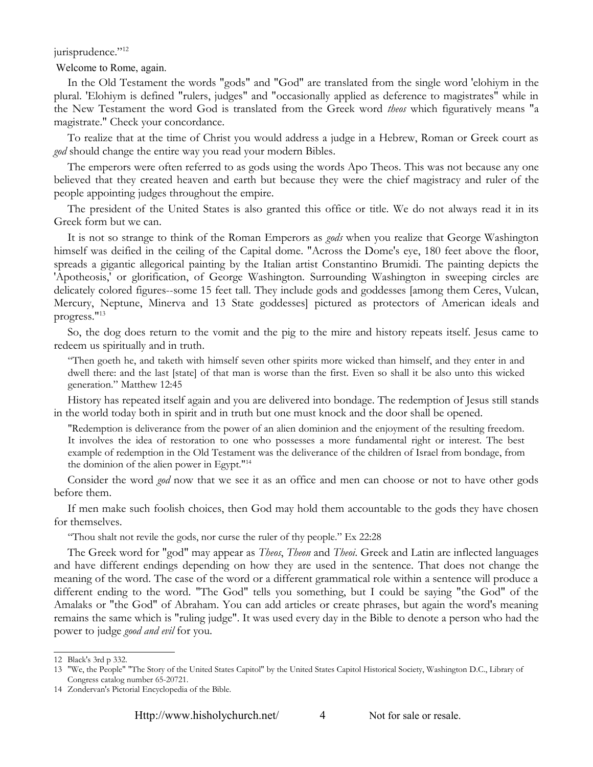#### jurisprudence."<sup>[12](#page-5-0)</sup>

Welcome to Rome, again.

In the Old Testament the words "gods" and "God" are translated from the single word 'elohiym in the plural. 'Elohiym is defined "rulers, judges" and "occasionally applied as deference to magistrates" while in the New Testament the word God is translated from the Greek word *theos* which figuratively means "a magistrate." Check your concordance.

To realize that at the time of Christ you would address a judge in a Hebrew, Roman or Greek court as *god* should change the entire way you read your modern Bibles.

The emperors were often referred to as gods using the words Apo Theos. This was not because any one believed that they created heaven and earth but because they were the chief magistracy and ruler of the people appointing judges throughout the empire.

The president of the United States is also granted this office or title. We do not always read it in its Greek form but we can.

It is not so strange to think of the Roman Emperors as *gods* when you realize that George Washington himself was deified in the ceiling of the Capital dome. "Across the Dome's eye, 180 feet above the floor, spreads a gigantic allegorical painting by the Italian artist Constantino Brumidi. The painting depicts the 'Apotheosis,' or glorification, of George Washington. Surrounding Washington in sweeping circles are delicately colored figures--some 15 feet tall. They include gods and goddesses [among them Ceres, Vulcan, Mercury, Neptune, Minerva and 13 State goddesses] pictured as protectors of American ideals and progress."[13](#page-5-1)

So, the dog does return to the vomit and the pig to the mire and history repeats itself. Jesus came to redeem us spiritually and in truth.

"Then goeth he, and taketh with himself seven other spirits more wicked than himself, and they enter in and dwell there: and the last [state] of that man is worse than the first. Even so shall it be also unto this wicked generation." Matthew 12:45

History has repeated itself again and you are delivered into bondage. The redemption of Jesus still stands in the world today both in spirit and in truth but one must knock and the door shall be opened.

"Redemption is deliverance from the power of an alien dominion and the enjoyment of the resulting freedom. It involves the idea of restoration to one who possesses a more fundamental right or interest. The best example of redemption in the Old Testament was the deliverance of the children of Israel from bondage, from the dominion of the alien power in Egypt."[14](#page-5-2)

Consider the word *god* now that we see it as an office and men can choose or not to have other gods before them.

If men make such foolish choices, then God may hold them accountable to the gods they have chosen for themselves.

"Thou shalt not revile the gods, nor curse the ruler of thy people." Ex 22:28

The Greek word for "god" may appear as *Theos*, *Theon* and *Theoi*. Greek and Latin are inflected languages and have different endings depending on how they are used in the sentence. That does not change the meaning of the word. The case of the word or a different grammatical role within a sentence will produce a different ending to the word. "The God" tells you something, but I could be saying "the God" of the Amalaks or "the God" of Abraham. You can add articles or create phrases, but again the word's meaning remains the same which is "ruling judge". It was used every day in the Bible to denote a person who had the power to judge *good and evil* for you.

<span id="page-5-0"></span><sup>12</sup> Black's 3rd p 332.

<span id="page-5-1"></span><sup>13</sup> "We, the People" "The Story of the United States Capitol" by the United States Capitol Historical Society, Washington D.C., Library of Congress catalog number 65-20721.

<span id="page-5-2"></span><sup>14</sup> Zondervan's Pictorial Encyclopedia of the Bible.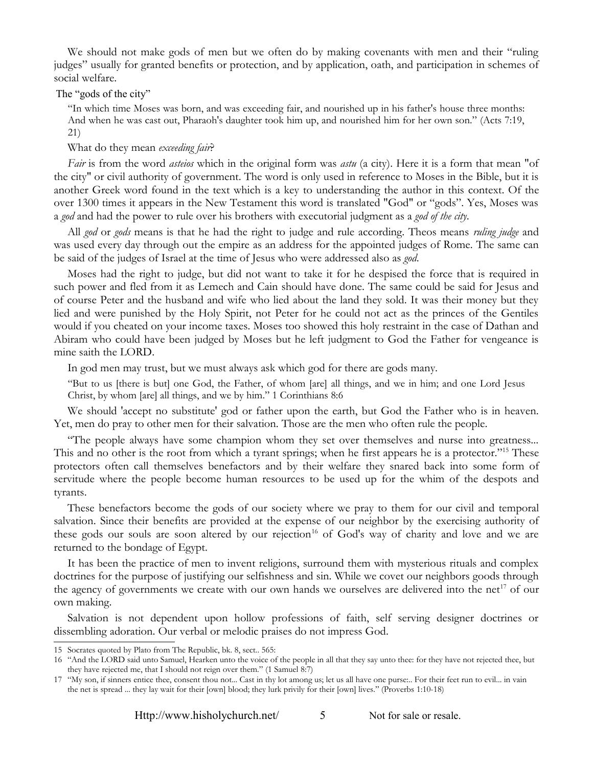We should not make gods of men but we often do by making covenants with men and their "ruling judges" usually for granted benefits or protection, and by application, oath, and participation in schemes of social welfare.

#### The "gods of the city"

"In which time Moses was born, and was exceeding fair, and nourished up in his father's house three months: And when he was cast out, Pharaoh's daughter took him up, and nourished him for her own son." (Acts 7:19, 21)

What do they mean *exceeding fair*?

*Fair* is from the word *asteios* which in the original form was *astu* (a city). Here it is a form that mean "of the city" or civil authority of government. The word is only used in reference to Moses in the Bible, but it is another Greek word found in the text which is a key to understanding the author in this context. Of the over 1300 times it appears in the New Testament this word is translated "God" or "gods". Yes, Moses was a *god* and had the power to rule over his brothers with executorial judgment as a *god of the city*.

All *god* or *gods* means is that he had the right to judge and rule according. Theos means *ruling judge* and was used every day through out the empire as an address for the appointed judges of Rome. The same can be said of the judges of Israel at the time of Jesus who were addressed also as *god*.

Moses had the right to judge, but did not want to take it for he despised the force that is required in such power and fled from it as Lemech and Cain should have done. The same could be said for Jesus and of course Peter and the husband and wife who lied about the land they sold. It was their money but they lied and were punished by the Holy Spirit, not Peter for he could not act as the princes of the Gentiles would if you cheated on your income taxes. Moses too showed this holy restraint in the case of Dathan and Abiram who could have been judged by Moses but he left judgment to God the Father for vengeance is mine saith the LORD.

In god men may trust, but we must always ask which god for there are gods many.

"But to us [there is but] one God, the Father, of whom [are] all things, and we in him; and one Lord Jesus Christ, by whom [are] all things, and we by him." 1 Corinthians 8:6

We should 'accept no substitute' god or father upon the earth, but God the Father who is in heaven. Yet, men do pray to other men for their salvation. Those are the men who often rule the people.

"The people always have some champion whom they set over themselves and nurse into greatness... This and no other is the root from which a tyrant springs; when he first appears he is a protector."<sup>[15](#page-6-0)</sup> These protectors often call themselves benefactors and by their welfare they snared back into some form of servitude where the people become human resources to be used up for the whim of the despots and tyrants.

These benefactors become the gods of our society where we pray to them for our civil and temporal salvation. Since their benefits are provided at the expense of our neighbor by the exercising authority of these gods our souls are soon altered by our rejection<sup>[16](#page-6-1)</sup> of God's way of charity and love and we are returned to the bondage of Egypt.

It has been the practice of men to invent religions, surround them with mysterious rituals and complex doctrines for the purpose of justifying our selfishness and sin. While we covet our neighbors goods through the agency of governments we create with our own hands we ourselves are delivered into the net<sup>[17](#page-6-2)</sup> of our own making.

Salvation is not dependent upon hollow professions of faith, self serving designer doctrines or dissembling adoration. Our verbal or melodic praises do not impress God.

<span id="page-6-0"></span><sup>15</sup> Socrates quoted by Plato from The Republic, bk. 8, sect.. 565:

<span id="page-6-1"></span><sup>16</sup> "And the LORD said unto Samuel, Hearken unto the voice of the people in all that they say unto thee: for they have not rejected thee, but they have rejected me, that I should not reign over them." (1 Samuel 8:7)

<span id="page-6-2"></span><sup>17</sup> "My son, if sinners entice thee, consent thou not... Cast in thy lot among us; let us all have one purse:.. For their feet run to evil... in vain the net is spread ... they lay wait for their [own] blood; they lurk privily for their [own] lives." (Proverbs 1:10-18)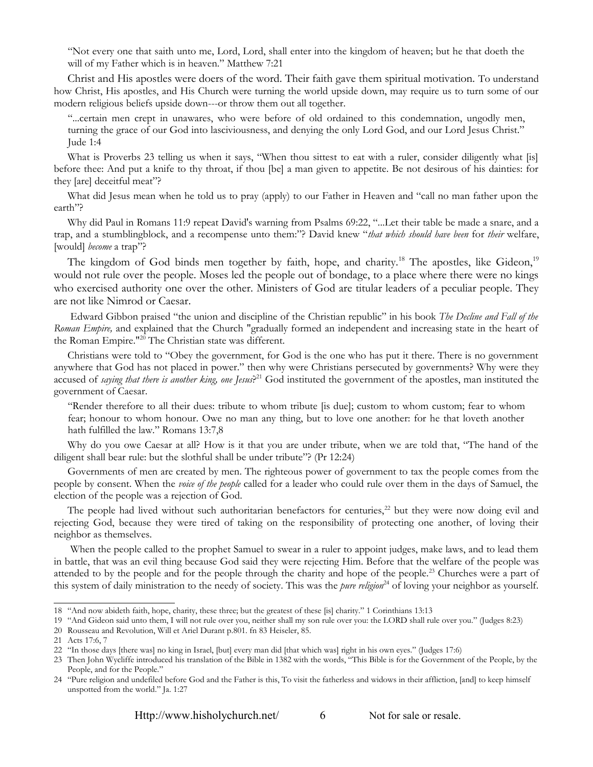"Not every one that saith unto me, Lord, Lord, shall enter into the kingdom of heaven; but he that doeth the will of my Father which is in heaven." Matthew 7:21

Christ and His apostles were doers of the word. Their faith gave them spiritual motivation. To understand how Christ, His apostles, and His Church were turning the world upside down, may require us to turn some of our modern religious beliefs upside down---or throw them out all together.

"...certain men crept in unawares, who were before of old ordained to this condemnation, ungodly men, turning the grace of our God into lasciviousness, and denying the only Lord God, and our Lord Jesus Christ." Jude 1:4

What is Proverbs 23 telling us when it says, "When thou sittest to eat with a ruler, consider diligently what [is] before thee: And put a knife to thy throat, if thou [be] a man given to appetite. Be not desirous of his dainties: for they [are] deceitful meat"?

What did Jesus mean when he told us to pray (apply) to our Father in Heaven and "call no man father upon the earth"?

Why did Paul in Romans 11:9 repeat David's warning from Psalms 69:22, "...Let their table be made a snare, and a trap, and a stumblingblock, and a recompense unto them:"? David knew "*that which should have been* for *their* welfare, [would] *become* a trap"?

The kingdom of God binds men together by faith, hope, and charity.<sup>[18](#page-7-0)</sup> The apostles, like Gideon,<sup>[19](#page-7-1)</sup> would not rule over the people. Moses led the people out of bondage, to a place where there were no kings who exercised authority one over the other. Ministers of God are titular leaders of a peculiar people. They are not like Nimrod or Caesar.

 Edward Gibbon praised "the union and discipline of the Christian republic" in his book *The Decline and Fall of the Roman Empire,* and explained that the Church "gradually formed an independent and increasing state in the heart of the Roman Empire."[20](#page-7-2) The Christian state was different.

Christians were told to "Obey the government, for God is the one who has put it there. There is no government anywhere that God has not placed in power." then why were Christians persecuted by governments? Why were they accused of *saying that there is another king, one Jesus*? [21](#page-7-3) God instituted the government of the apostles, man instituted the government of Caesar.

"Render therefore to all their dues: tribute to whom tribute [is due]; custom to whom custom; fear to whom fear; honour to whom honour. Owe no man any thing, but to love one another: for he that loveth another hath fulfilled the law." Romans 13:7,8

Why do you owe Caesar at all? How is it that you are under tribute, when we are told that, "The hand of the diligent shall bear rule: but the slothful shall be under tribute"? (Pr 12:24)

Governments of men are created by men. The righteous power of government to tax the people comes from the people by consent. When the *voice of the people* called for a leader who could rule over them in the days of Samuel, the election of the people was a rejection of God.

The people had lived without such authoritarian benefactors for centuries, $^{22}$  $^{22}$  $^{22}$  but they were now doing evil and rejecting God, because they were tired of taking on the responsibility of protecting one another, of loving their neighbor as themselves.

 When the people called to the prophet Samuel to swear in a ruler to appoint judges, make laws, and to lead them in battle, that was an evil thing because God said they were rejecting Him. Before that the welfare of the people was attended to by the people and for the people through the charity and hope of the people.<sup>[23](#page-7-5)</sup> Churches were a part of this system of daily ministration to the needy of society. This was the *pure religion*<sup>[24](#page-7-6)</sup> of loving your neighbor as yourself.

<span id="page-7-0"></span><sup>18</sup> "And now abideth faith, hope, charity, these three; but the greatest of these [is] charity." 1 Corinthians 13:13

<span id="page-7-1"></span><sup>19</sup> "And Gideon said unto them, I will not rule over you, neither shall my son rule over you: the LORD shall rule over you." (Judges 8:23)

<span id="page-7-2"></span><sup>20</sup> Rousseau and Revolution, Will et Ariel Durant p.801. fn 83 Heiseler, 85.

<span id="page-7-3"></span><sup>21</sup> Acts 17:6, 7

<span id="page-7-4"></span><sup>22</sup> "In those days [there was] no king in Israel, [but] every man did [that which was] right in his own eyes." (Judges 17:6)

<span id="page-7-5"></span><sup>23</sup> Then John Wycliffe introduced his translation of the Bible in 1382 with the words, "This Bible is for the Government of the People, by the People, and for the People."

<span id="page-7-6"></span><sup>24</sup> "Pure religion and undefiled before God and the Father is this, To visit the fatherless and widows in their affliction, [and] to keep himself unspotted from the world." Ja. 1:27